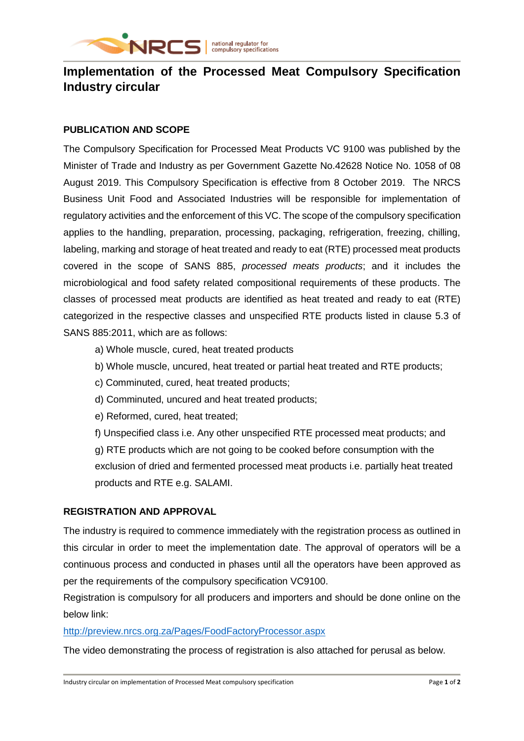

# **Implementation of the Processed Meat Compulsory Specification Industry circular**

## **PUBLICATION AND SCOPE**

The Compulsory Specification for Processed Meat Products VC 9100 was published by the Minister of Trade and Industry as per Government Gazette No.42628 Notice No. 1058 of 08 August 2019. This Compulsory Specification is effective from 8 October 2019. The NRCS Business Unit Food and Associated Industries will be responsible for implementation of regulatory activities and the enforcement of this VC. The scope of the compulsory specification applies to the handling, preparation, processing, packaging, refrigeration, freezing, chilling, labeling, marking and storage of heat treated and ready to eat (RTE) processed meat products covered in the scope of SANS 885, *processed meats products*; and it includes the microbiological and food safety related compositional requirements of these products. The classes of processed meat products are identified as heat treated and ready to eat (RTE) categorized in the respective classes and unspecified RTE products listed in clause 5.3 of SANS 885:2011, which are as follows:

- a) Whole muscle, cured, heat treated products
- b) Whole muscle, uncured, heat treated or partial heat treated and RTE products;
- c) Comminuted, cured, heat treated products;
- d) Comminuted, uncured and heat treated products;
- e) Reformed, cured, heat treated;

f) Unspecified class i.e. Any other unspecified RTE processed meat products; and g) RTE products which are not going to be cooked before consumption with the exclusion of dried and fermented processed meat products i.e. partially heat treated products and RTE e.g. SALAMI.

## **REGISTRATION AND APPROVAL**

The industry is required to commence immediately with the registration process as outlined in this circular in order to meet the implementation date. The approval of operators will be a continuous process and conducted in phases until all the operators have been approved as per the requirements of the compulsory specification VC9100.

Registration is compulsory for all producers and importers and should be done online on the below link:

## <http://preview.nrcs.org.za/Pages/FoodFactoryProcessor.aspx>

The video demonstrating the process of registration is also attached for perusal as below.